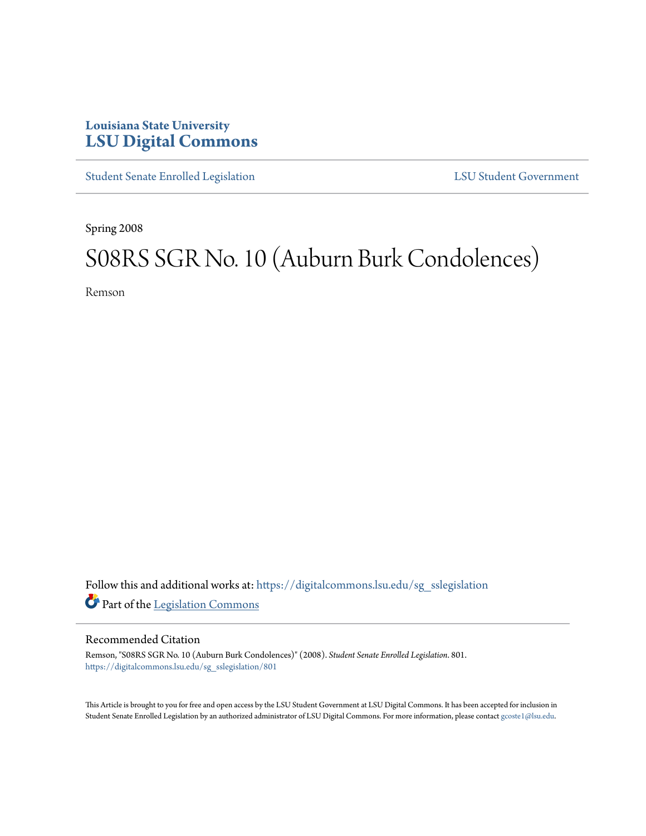## **Louisiana State University [LSU Digital Commons](https://digitalcommons.lsu.edu?utm_source=digitalcommons.lsu.edu%2Fsg_sslegislation%2F801&utm_medium=PDF&utm_campaign=PDFCoverPages)**

[Student Senate Enrolled Legislation](https://digitalcommons.lsu.edu/sg_sslegislation?utm_source=digitalcommons.lsu.edu%2Fsg_sslegislation%2F801&utm_medium=PDF&utm_campaign=PDFCoverPages) [LSU Student Government](https://digitalcommons.lsu.edu/sg?utm_source=digitalcommons.lsu.edu%2Fsg_sslegislation%2F801&utm_medium=PDF&utm_campaign=PDFCoverPages)

Spring 2008

## S08RS SGR No. 10 (Auburn Burk Condolences)

Remson

Follow this and additional works at: [https://digitalcommons.lsu.edu/sg\\_sslegislation](https://digitalcommons.lsu.edu/sg_sslegislation?utm_source=digitalcommons.lsu.edu%2Fsg_sslegislation%2F801&utm_medium=PDF&utm_campaign=PDFCoverPages) Part of the [Legislation Commons](http://network.bepress.com/hgg/discipline/859?utm_source=digitalcommons.lsu.edu%2Fsg_sslegislation%2F801&utm_medium=PDF&utm_campaign=PDFCoverPages)

## Recommended Citation

Remson, "S08RS SGR No. 10 (Auburn Burk Condolences)" (2008). *Student Senate Enrolled Legislation*. 801. [https://digitalcommons.lsu.edu/sg\\_sslegislation/801](https://digitalcommons.lsu.edu/sg_sslegislation/801?utm_source=digitalcommons.lsu.edu%2Fsg_sslegislation%2F801&utm_medium=PDF&utm_campaign=PDFCoverPages)

This Article is brought to you for free and open access by the LSU Student Government at LSU Digital Commons. It has been accepted for inclusion in Student Senate Enrolled Legislation by an authorized administrator of LSU Digital Commons. For more information, please contact [gcoste1@lsu.edu.](mailto:gcoste1@lsu.edu)